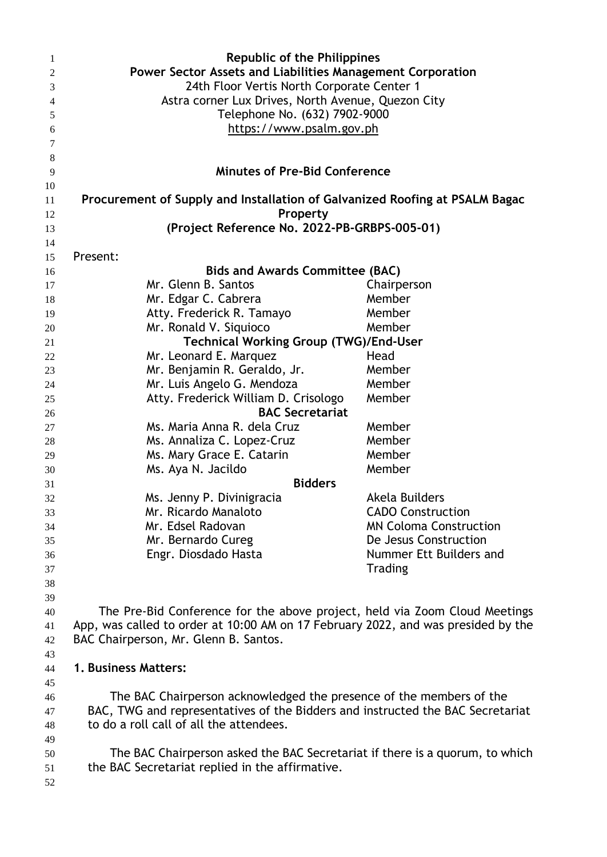| $\mathbf{1}$    | <b>Republic of the Philippines</b>                                                |                               |  |
|-----------------|-----------------------------------------------------------------------------------|-------------------------------|--|
| $\overline{c}$  | Power Sector Assets and Liabilities Management Corporation                        |                               |  |
| 3               | 24th Floor Vertis North Corporate Center 1                                        |                               |  |
| $\overline{4}$  | Astra corner Lux Drives, North Avenue, Quezon City                                |                               |  |
| 5               | Telephone No. (632) 7902-9000                                                     |                               |  |
| 6               | https://www.psalm.gov.ph                                                          |                               |  |
| 7               |                                                                                   |                               |  |
| $8\phantom{.0}$ |                                                                                   |                               |  |
| 9               | <b>Minutes of Pre-Bid Conference</b>                                              |                               |  |
| 10              |                                                                                   |                               |  |
| 11              | Procurement of Supply and Installation of Galvanized Roofing at PSALM Bagac       |                               |  |
| 12              | Property                                                                          |                               |  |
| 13              | (Project Reference No. 2022-PB-GRBPS-005-01)                                      |                               |  |
| 14              |                                                                                   |                               |  |
| 15              | Present:                                                                          |                               |  |
| 16              | <b>Bids and Awards Committee (BAC)</b>                                            |                               |  |
| 17              | Mr. Glenn B. Santos                                                               | Chairperson                   |  |
| 18              | Mr. Edgar C. Cabrera                                                              | Member                        |  |
| 19              | Atty. Frederick R. Tamayo                                                         | Member                        |  |
| 20              | Mr. Ronald V. Siquioco                                                            | Member                        |  |
| 21              | <b>Technical Working Group (TWG)/End-User</b>                                     |                               |  |
| 22              | Mr. Leonard E. Marquez                                                            | Head                          |  |
| 23              | Mr. Benjamin R. Geraldo, Jr.                                                      | Member                        |  |
| 24              | Mr. Luis Angelo G. Mendoza                                                        | Member                        |  |
| 25              | Atty. Frederick William D. Crisologo                                              | Member                        |  |
| 26              | <b>BAC Secretariat</b>                                                            |                               |  |
| 27              | Ms. Maria Anna R. dela Cruz                                                       | Member                        |  |
| 28              | Ms. Annaliza C. Lopez-Cruz                                                        | Member                        |  |
| 29              | Ms. Mary Grace E. Catarin                                                         | Member                        |  |
| 30              | Ms. Aya N. Jacildo                                                                | Member                        |  |
| 31              | <b>Bidders</b>                                                                    |                               |  |
| 32              | Ms. Jenny P. Divinigracia                                                         | Akela Builders                |  |
| 33              | Mr. Ricardo Manaloto                                                              | <b>CADO Construction</b>      |  |
| 34              | Mr. Edsel Radovan                                                                 | <b>MN Coloma Construction</b> |  |
| 35              | Mr. Bernardo Cureg                                                                | De Jesus Construction         |  |
| 36              | Engr. Diosdado Hasta                                                              | Nummer Ett Builders and       |  |
| 37              |                                                                                   | <b>Trading</b>                |  |
| 38              |                                                                                   |                               |  |
| 39              |                                                                                   |                               |  |
| 40              | The Pre-Bid Conference for the above project, held via Zoom Cloud Meetings        |                               |  |
| 41              | App, was called to order at 10:00 AM on 17 February 2022, and was presided by the |                               |  |
| 42              | BAC Chairperson, Mr. Glenn B. Santos.                                             |                               |  |
| 43              |                                                                                   |                               |  |
| 44              | 1. Business Matters:                                                              |                               |  |
| 45              |                                                                                   |                               |  |
| 46              | The BAC Chairperson acknowledged the presence of the members of the               |                               |  |
| 47              | BAC, TWG and representatives of the Bidders and instructed the BAC Secretariat    |                               |  |
| 48              | to do a roll call of all the attendees.                                           |                               |  |
| 49              |                                                                                   |                               |  |
| 50              | The BAC Chairperson asked the BAC Secretariat if there is a quorum, to which      |                               |  |
| 51              | the BAC Secretariat replied in the affirmative.                                   |                               |  |
| 52              |                                                                                   |                               |  |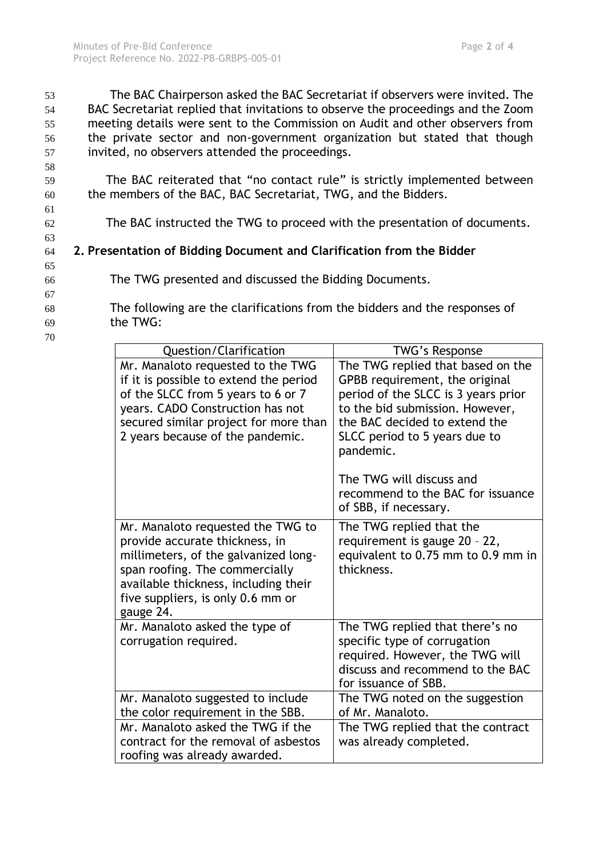58

61

63

65

67

70

 The BAC Chairperson asked the BAC Secretariat if observers were invited. The BAC Secretariat replied that invitations to observe the proceedings and the Zoom meeting details were sent to the Commission on Audit and other observers from the private sector and non-government organization but stated that though invited, no observers attended the proceedings.

59 The BAC reiterated that "no contact rule" is strictly implemented between 60 the members of the BAC, BAC Secretariat, TWG, and the Bidders.

62 The BAC instructed the TWG to proceed with the presentation of documents.

## 64 **2. Presentation of Bidding Document and Clarification from the Bidder**

- 66 The TWG presented and discussed the Bidding Documents.
- 68 The following are the clarifications from the bidders and the responses of 69 the TWG:
	- Question/Clarification | TWG's Response Mr. Manaloto requested to the TWG if it is possible to extend the period of the SLCC from 5 years to 6 or 7 years. CADO Construction has not secured similar project for more than 2 years because of the pandemic. The TWG replied that based on the GPBB requirement, the original period of the SLCC is 3 years prior to the bid submission. However, the BAC decided to extend the SLCC period to 5 years due to pandemic. The TWG will discuss and recommend to the BAC for issuance of SBB, if necessary. Mr. Manaloto requested the TWG to provide accurate thickness, in millimeters, of the galvanized longspan roofing. The commercially available thickness, including their five suppliers, is only 0.6 mm or gauge 24. The TWG replied that the requirement is gauge 20 – 22, equivalent to 0.75 mm to 0.9 mm in thickness. Mr. Manaloto asked the type of corrugation required. The TWG replied that there's no specific type of corrugation required. However, the TWG will discuss and recommend to the BAC for issuance of SBB. Mr. Manaloto suggested to include the color requirement in the SBB. The TWG noted on the suggestion of Mr. Manaloto. Mr. Manaloto asked the TWG if the contract for the removal of asbestos roofing was already awarded. The TWG replied that the contract was already completed.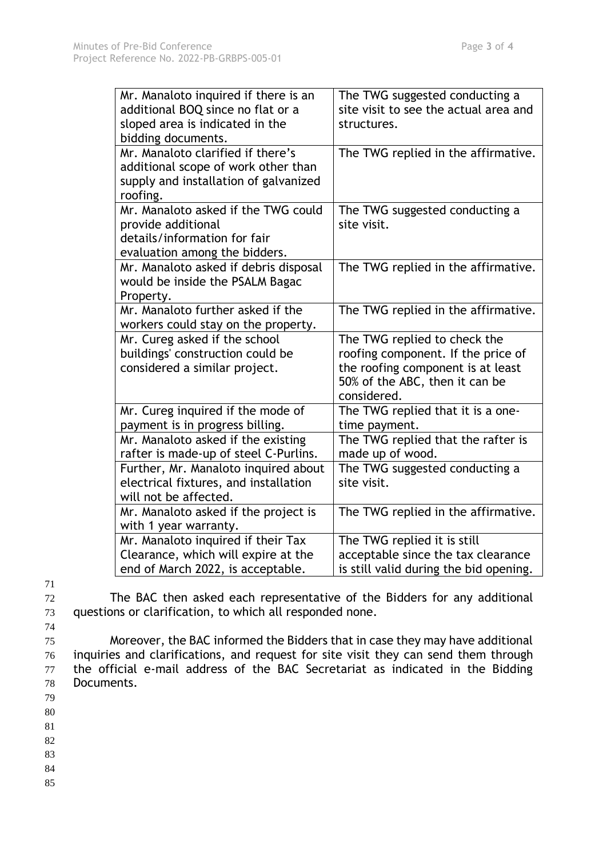| Mr. Manaloto inquired if there is an<br>additional BOQ since no flat or a<br>sloped area is indicated in the<br>bidding documents. | The TWG suggested conducting a<br>site visit to see the actual area and<br>structures.                                                                   |
|------------------------------------------------------------------------------------------------------------------------------------|----------------------------------------------------------------------------------------------------------------------------------------------------------|
| Mr. Manaloto clarified if there's<br>additional scope of work other than<br>supply and installation of galvanized<br>roofing.      | The TWG replied in the affirmative.                                                                                                                      |
| Mr. Manaloto asked if the TWG could<br>provide additional<br>details/information for fair<br>evaluation among the bidders.         | The TWG suggested conducting a<br>site visit.                                                                                                            |
| Mr. Manaloto asked if debris disposal<br>would be inside the PSALM Bagac<br>Property.                                              | The TWG replied in the affirmative.                                                                                                                      |
| Mr. Manaloto further asked if the<br>workers could stay on the property.                                                           | The TWG replied in the affirmative.                                                                                                                      |
| Mr. Cureg asked if the school<br>buildings' construction could be<br>considered a similar project.                                 | The TWG replied to check the<br>roofing component. If the price of<br>the roofing component is at least<br>50% of the ABC, then it can be<br>considered. |
| Mr. Cureg inquired if the mode of<br>payment is in progress billing.                                                               | The TWG replied that it is a one-<br>time payment.                                                                                                       |
| Mr. Manaloto asked if the existing<br>rafter is made-up of steel C-Purlins.                                                        | The TWG replied that the rafter is<br>made up of wood.                                                                                                   |
| Further, Mr. Manaloto inquired about<br>electrical fixtures, and installation<br>will not be affected.                             | The TWG suggested conducting a<br>site visit.                                                                                                            |
| Mr. Manaloto asked if the project is<br>with 1 year warranty.                                                                      | The TWG replied in the affirmative.                                                                                                                      |
| Mr. Manaloto inquired if their Tax<br>Clearance, which will expire at the<br>end of March 2022, is acceptable.                     | The TWG replied it is still<br>acceptable since the tax clearance<br>is still valid during the bid opening.                                              |

71

72 The BAC then asked each representative of the Bidders for any additional 73 questions or clarification, to which all responded none.

74

 Moreover, the BAC informed the Bidders that in case they may have additional inquiries and clarifications, and request for site visit they can send them through the official e-mail address of the BAC Secretariat as indicated in the Bidding Documents.

79

80

81

82

83

84

85